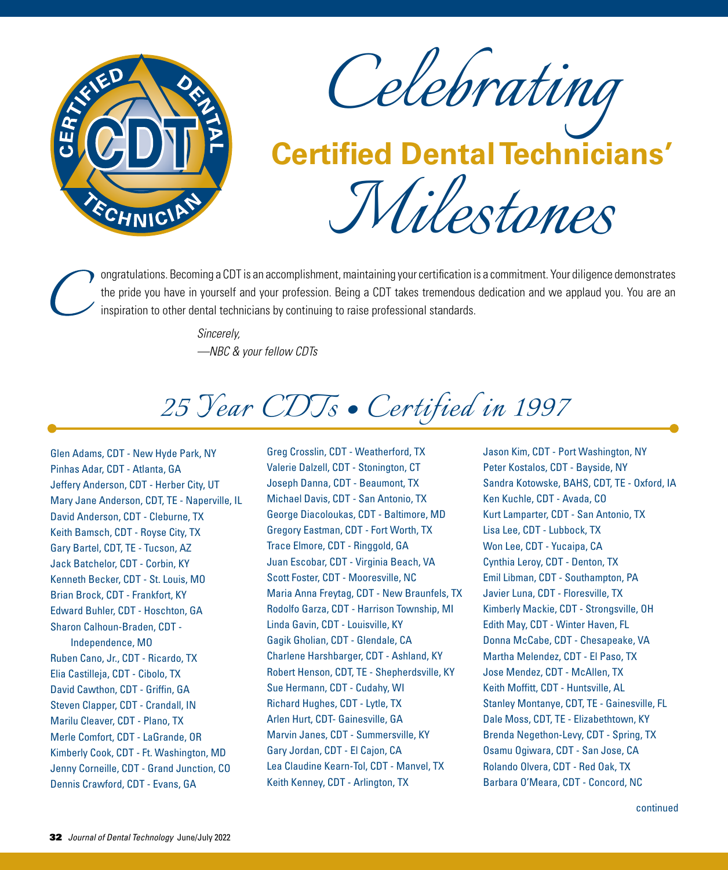

*Celebrating*

# *Milestones* **Certified Dental Technicians'**

ongratulations. Becoming a CDT is an accomplishment, maintaining your certification is a commitment. Your diligence demonstrates the pride you have in yourself and your profession. Being a CDT takes tremendous dedication and we applaud you. You are an inspiration to other dental technicians by continuing to raise professional standards.

> *Sincerely, —NBC & your fellow CDTs*

### *25 Year CDTs • Certified in 1997*

Glen Adams, CDT - New Hyde Park, NY Pinhas Adar, CDT - Atlanta, GA Jeffery Anderson, CDT - Herber City, UT Mary Jane Anderson, CDT, TE - Naperville, IL David Anderson, CDT - Cleburne, TX Keith Bamsch, CDT - Royse City, TX Gary Bartel, CDT, TE - Tucson, AZ Jack Batchelor, CDT - Corbin, KY Kenneth Becker, CDT - St. Louis, MO Brian Brock, CDT - Frankfort, KY Edward Buhler, CDT - Hoschton, GA Sharon Calhoun-Braden, CDT - Independence, MO Ruben Cano, Jr., CDT - Ricardo, TX Elia Castilleja, CDT - Cibolo, TX David Cawthon, CDT - Griffin, GA Steven Clapper, CDT - Crandall, IN Marilu Cleaver, CDT - Plano, TX Merle Comfort, CDT - LaGrande, OR Kimberly Cook, CDT - Ft. Washington, MD Jenny Corneille, CDT - Grand Junction, CO Dennis Crawford, CDT - Evans, GA

Greg Crosslin, CDT - Weatherford, TX Valerie Dalzell, CDT - Stonington, CT Joseph Danna, CDT - Beaumont, TX Michael Davis, CDT - San Antonio, TX George Diacoloukas, CDT - Baltimore, MD Gregory Eastman, CDT - Fort Worth, TX Trace Elmore, CDT - Ringgold, GA Juan Escobar, CDT - Virginia Beach, VA Scott Foster, CDT - Mooresville, NC Maria Anna Freytag, CDT - New Braunfels, TX Rodolfo Garza, CDT - Harrison Township, MI Linda Gavin, CDT - Louisville, KY Gagik Gholian, CDT - Glendale, CA Charlene Harshbarger, CDT - Ashland, KY Robert Henson, CDT, TE - Shepherdsville, KY Sue Hermann, CDT - Cudahy, WI Richard Hughes, CDT - Lytle, TX Arlen Hurt, CDT- Gainesville, GA Marvin Janes, CDT - Summersville, KY Gary Jordan, CDT - El Cajon, CA Lea Claudine Kearn-Tol, CDT - Manvel, TX Keith Kenney, CDT - Arlington, TX

Jason Kim, CDT - Port Washington, NY Peter Kostalos, CDT - Bayside, NY Sandra Kotowske, BAHS, CDT, TE - Oxford, IA Ken Kuchle, CDT - Avada, CO Kurt Lamparter, CDT - San Antonio, TX Lisa Lee, CDT - Lubbock, TX Won Lee, CDT - Yucaipa, CA Cynthia Leroy, CDT - Denton, TX Emil Libman, CDT - Southampton, PA Javier Luna, CDT - Floresville, TX Kimberly Mackie, CDT - Strongsville, OH Edith May, CDT - Winter Haven, FL Donna McCabe, CDT - Chesapeake, VA Martha Melendez, CDT - El Paso, TX Jose Mendez, CDT - McAllen, TX Keith Moffitt, CDT - Huntsville, AL Stanley Montanye, CDT, TE - Gainesville, FL Dale Moss, CDT, TE - Elizabethtown, KY Brenda Negethon-Levy, CDT - Spring, TX Osamu Ogiwara, CDT - San Jose, CA Rolando Olvera, CDT - Red Oak, TX Barbara O'Meara, CDT - Concord, NC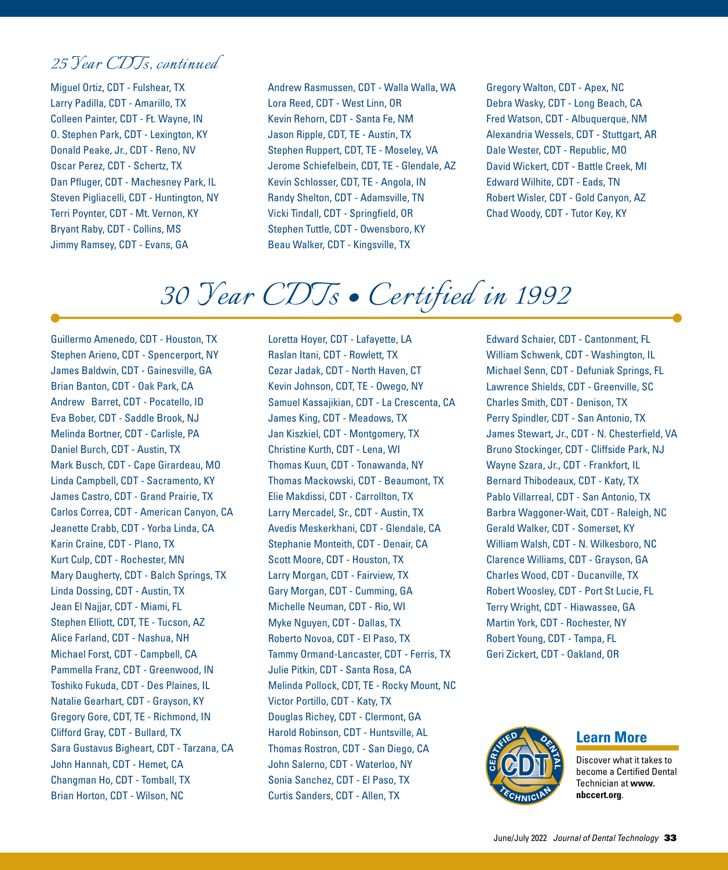#### *25 Year CDTs, continued*

Miguel Ortiz, CDT - Fulshear, TX Larry Padilla, CDT - Amarillo, TX Colleen Painter, CDT - Ft. Wayne, IN O. Stephen Park, CDT - Lexington, KY Donald Peake, Jr., CDT - Reno, NV Oscar Perez, CDT - Schertz, TX Dan Pfluger, CDT - Machesney Park, IL Steven Pigliacelli, CDT - Huntington, NY Terri Poynter, CDT - Mt. Vernon, KY Bryant Raby, CDT - Collins, MS Jimmy Ramsey, CDT - Evans, GA

Andrew Rasmussen, CDT - Walla Walla, WA Lora Reed, CDT - West Linn, OR Kevin Rehorn, CDT - Santa Fe, NM Jason Ripple, CDT, TE - Austin, TX Stephen Ruppert, CDT, TE - Moseley, VA Jerome Schiefelbein, CDT, TE - Glendale, AZ Kevin Schlosser, CDT, TE - Angola, IN Randy Shelton, CDT - Adamsville, TN Vicki Tindall, CDT - Springfield, OR Stephen Tuttle, CDT - Owensboro, KY Beau Walker, CDT - Kingsville, TX

Gregory Walton, CDT - Apex, NC Debra Wasky, CDT - Long Beach, CA Fred Watson, CDT - Albuquerque, NM Alexandria Wessels, CDT - Stuttgart, AR Dale Wester, CDT - Republic, MO David Wickert, CDT - Battle Creek, MI Edward Wilhite, CDT - Eads, TN Robert Wisler, CDT - Gold Canyon, AZ Chad Woody, CDT - Tutor Key, KY

### *30 Year CDTs • Certified in 1992*

Guillermo Amenedo, CDT - Houston, TX Stephen Arieno, CDT - Spencerport, NY James Baldwin, CDT - Gainesville, GA Brian Banton, CDT - Oak Park, CA Andrew Barret, CDT - Pocatello, ID Eva Bober, CDT - Saddle Brook, NJ Melinda Bortner, CDT - Carlisle, PA Daniel Burch, CDT - Austin, TX Mark Busch, CDT - Cape Girardeau, MO Linda Campbell, CDT - Sacramento, KY James Castro, CDT - Grand Prairie, TX Carlos Correa, CDT - American Canyon, CA Jeanette Crabb, CDT - Yorba Linda, CA Karin Craine, CDT - Plano, TX Kurt Culp, CDT - Rochester, MN Mary Daugherty, CDT - Balch Springs, TX Linda Dossing, CDT - Austin, TX Jean El Najjar, CDT - Miami, FL Stephen Elliott, CDT, TE - Tucson, AZ Alice Farland, CDT - Nashua, NH Michael Forst, CDT - Campbell, CA Pammella Franz, CDT - Greenwood, IN Toshiko Fukuda, CDT - Des Plaines, IL Natalie Gearhart, CDT - Grayson, KY Gregory Gore, CDT, TE - Richmond, IN Clifford Gray, CDT - Bullard, TX Sara Gustavus Bigheart, CDT - Tarzana, CA John Hannah, CDT - Hemet, CA Changman Ho, CDT - Tomball, TX Brian Horton, CDT - Wilson, NC

Loretta Hoyer, CDT - Lafayette, LA Raslan Itani, CDT - Rowlett, TX Cezar Jadak, CDT - North Haven, CT Kevin Johnson, CDT, TE - Owego, NY Samuel Kassajikian, CDT - La Crescenta, CA James King, CDT - Meadows, TX Jan Kiszkiel, CDT - Montgomery, TX Christine Kurth, CDT - Lena, WI Thomas Kuun, CDT - Tonawanda, NY Thomas Mackowski, CDT - Beaumont, TX Elie Makdissi, CDT - Carrollton, TX Larry Mercadel, Sr., CDT - Austin, TX Avedis Meskerkhani, CDT - Glendale, CA Stephanie Monteith, CDT - Denair, CA Scott Moore, CDT - Houston, TX Larry Morgan, CDT - Fairview, TX Gary Morgan, CDT - Cumming, GA Michelle Neuman, CDT - Rio, WI Myke Nguyen, CDT - Dallas, TX Roberto Novoa, CDT - El Paso, TX Tammy Ormand-Lancaster, CDT - Ferris, TX Julie Pitkin, CDT - Santa Rosa, CA Melinda Pollock, CDT, TE - Rocky Mount, NC Victor Portillo, CDT - Katy, TX Douglas Richey, CDT - Clermont, GA Harold Robinson, CDT - Huntsville, AL Thomas Rostron, CDT - San Diego, CA John Salerno, CDT - Waterloo, NY Sonia Sanchez, CDT - El Paso, TX Curtis Sanders, CDT - Allen, TX

Edward Schaier, CDT - Cantonment, FL William Schwenk, CDT - Washington, IL Michael Senn, CDT - Defuniak Springs, FL Lawrence Shields, CDT - Greenville, SC Charles Smith, CDT - Denison, TX Perry Spindler, CDT - San Antonio, TX James Stewart, Jr., CDT - N. Chesterfield, VA Bruno Stockinger, CDT - Cliffside Park, NJ Wayne Szara, Jr., CDT - Frankfort, IL Bernard Thibodeaux, CDT - Katy, TX Pablo Villarreal, CDT - San Antonio, TX Barbra Waggoner-Wait, CDT - Raleigh, NC Gerald Walker, CDT - Somerset, KY William Walsh, CDT - N. Wilkesboro, NC Clarence Williams, CDT - Grayson, GA Charles Wood, CDT - Ducanville, TX Robert Woosley, CDT - Port St Lucie, FL Terry Wright, CDT - Hiawassee, GA Martin York, CDT - Rochester, NY Robert Young, CDT - Tampa, FL Geri Zickert, CDT - Oakland, OR



**Learn More**

Discover what it takes to become a Certified Dental Technician at **www. nbccert.org**.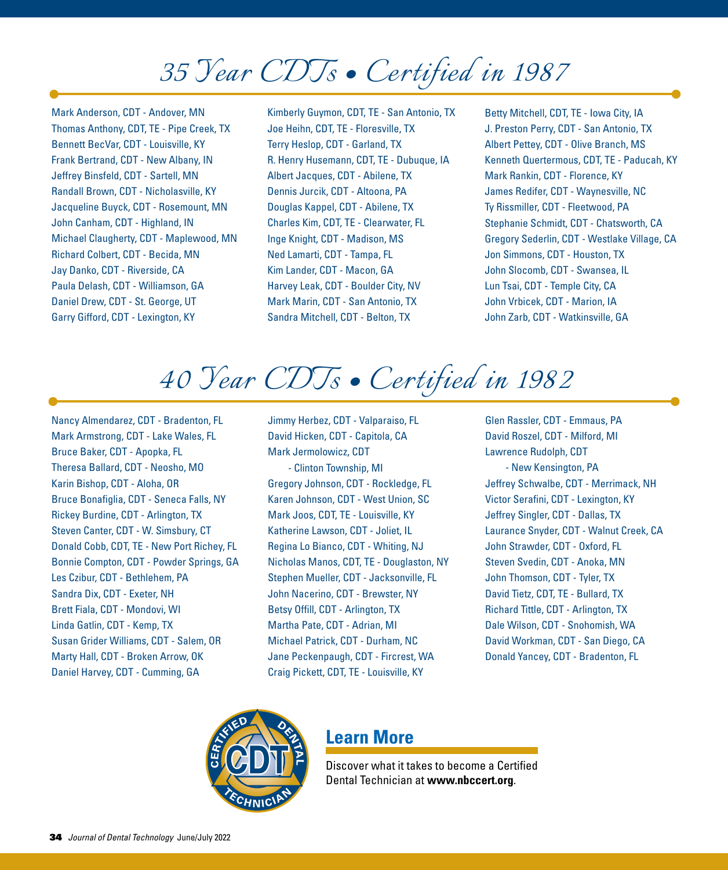## *35 Year CDTs • Certified in 1987*

Mark Anderson, CDT - Andover, MN Thomas Anthony, CDT, TE - Pipe Creek, TX Bennett BecVar, CDT - Louisville, KY Frank Bertrand, CDT - New Albany, IN Jeffrey Binsfeld, CDT - Sartell, MN Randall Brown, CDT - Nicholasville, KY Jacqueline Buyck, CDT - Rosemount, MN John Canham, CDT - Highland, IN Michael Claugherty, CDT - Maplewood, MN Richard Colbert, CDT - Becida, MN Jay Danko, CDT - Riverside, CA Paula Delash, CDT - Williamson, GA Daniel Drew, CDT - St. George, UT Garry Gifford, CDT - Lexington, KY

Kimberly Guymon, CDT, TE - San Antonio, TX Joe Heihn, CDT, TE - Floresville, TX Terry Heslop, CDT - Garland, TX R. Henry Husemann, CDT, TE - Dubuque, IA Albert Jacques, CDT - Abilene, TX Dennis Jurcik, CDT - Altoona, PA Douglas Kappel, CDT - Abilene, TX Charles Kim, CDT, TE - Clearwater, FL Inge Knight, CDT - Madison, MS Ned Lamarti, CDT - Tampa, FL Kim Lander, CDT - Macon, GA Harvey Leak, CDT - Boulder City, NV Mark Marin, CDT - San Antonio, TX Sandra Mitchell, CDT - Belton, TX

Betty Mitchell, CDT, TE - Iowa City, IA J. Preston Perry, CDT - San Antonio, TX Albert Pettey, CDT - Olive Branch, MS Kenneth Quertermous, CDT, TE - Paducah, KY Mark Rankin, CDT - Florence, KY James Redifer, CDT - Waynesville, NC Ty Rissmiller, CDT - Fleetwood, PA Stephanie Schmidt, CDT - Chatsworth, CA Gregory Sederlin, CDT - Westlake Village, CA Jon Simmons, CDT - Houston, TX John Slocomb, CDT - Swansea, IL Lun Tsai, CDT - Temple City, CA John Vrbicek, CDT - Marion, IA John Zarb, CDT - Watkinsville, GA

*40 Year CDTs • Certified in 1982*

Nancy Almendarez, CDT - Bradenton, FL Mark Armstrong, CDT - Lake Wales, FL Bruce Baker, CDT - Apopka, FL Theresa Ballard, CDT - Neosho, MO Karin Bishop, CDT - Aloha, OR Bruce Bonafiglia, CDT - Seneca Falls, NY Rickey Burdine, CDT - Arlington, TX Steven Canter, CDT - W. Simsbury, CT Donald Cobb, CDT, TE - New Port Richey, FL Bonnie Compton, CDT - Powder Springs, GA Les Czibur, CDT - Bethlehem, PA Sandra Dix, CDT - Exeter, NH Brett Fiala, CDT - Mondovi, WI Linda Gatlin, CDT - Kemp, TX Susan Grider Williams, CDT - Salem, OR Marty Hall, CDT - Broken Arrow, OK Daniel Harvey, CDT - Cumming, GA

Jimmy Herbez, CDT - Valparaiso, FL David Hicken, CDT - Capitola, CA Mark Jermolowicz, CDT - Clinton Township, MI Gregory Johnson, CDT - Rockledge, FL Karen Johnson, CDT - West Union, SC Mark Joos, CDT, TE - Louisville, KY Katherine Lawson, CDT - Joliet, IL Regina Lo Bianco, CDT - Whiting, NJ Nicholas Manos, CDT, TE - Douglaston, NY Stephen Mueller, CDT - Jacksonville, FL John Nacerino, CDT - Brewster, NY Betsy Offill, CDT - Arlington, TX Martha Pate, CDT - Adrian, MI Michael Patrick, CDT - Durham, NC Jane Peckenpaugh, CDT - Fircrest, WA Craig Pickett, CDT, TE - Louisville, KY

Glen Rassler, CDT - Emmaus, PA David Roszel, CDT - Milford, MI Lawrence Rudolph, CDT - New Kensington, PA Jeffrey Schwalbe, CDT - Merrimack, NH Victor Serafini, CDT - Lexington, KY Jeffrey Singler, CDT - Dallas, TX Laurance Snyder, CDT - Walnut Creek, CA John Strawder, CDT - Oxford, FL Steven Svedin, CDT - Anoka, MN John Thomson, CDT - Tyler, TX David Tietz, CDT, TE - Bullard, TX Richard Tittle, CDT - Arlington, TX Dale Wilson, CDT - Snohomish, WA David Workman, CDT - San Diego, CA Donald Yancey, CDT - Bradenton, FL



#### **Learn More**

Discover what it takes to become a Certified Dental Technician at **www.nbccert.org**.